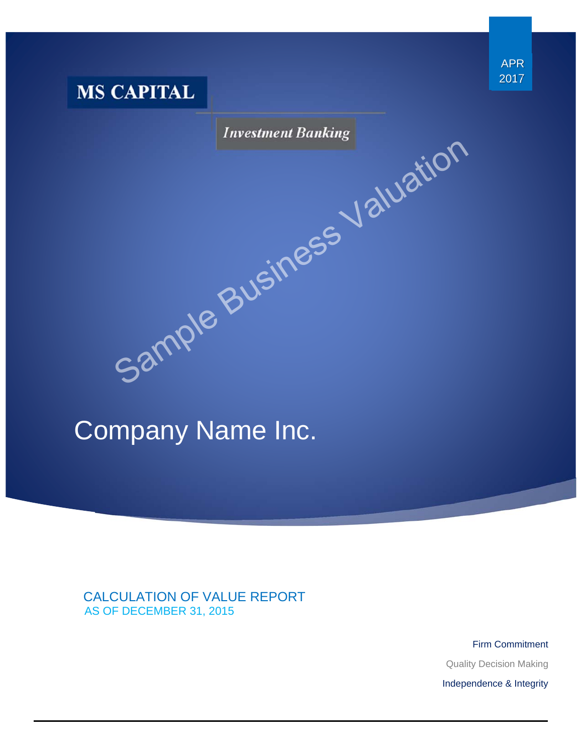

# Sample Business Valuation

# Company Name Inc.

 CALCULATION OF VALUE REPORT AS OF DECEMBER 31, 2015

> Firm Commitment Quality Decision Making Independence & Integrity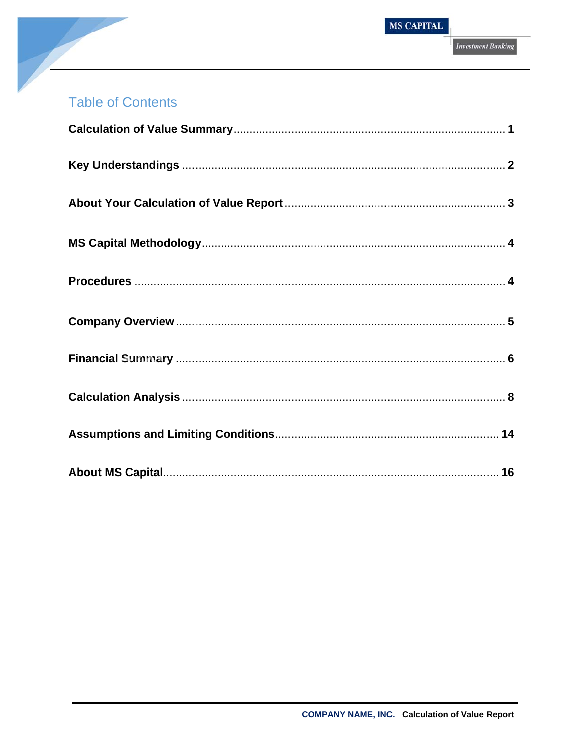# **Table of Contents**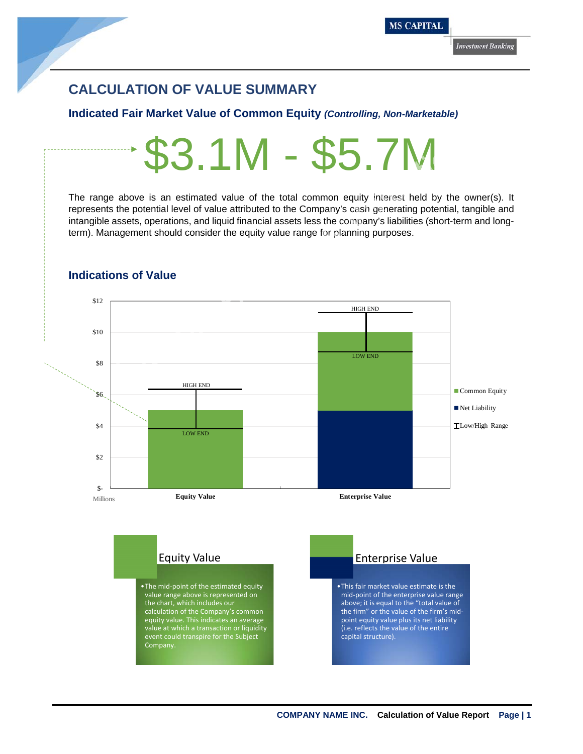### **CALCULATION OF VALUE SUMMARY**

### **Indicated Fair Market Value of Common Equity** *(Controlling, Non-Marketable)*

The range above is an estimated value of the total common equity interest held by the owner(s). It represents the potential level of value attributed to the Company's cash generating potential, tangible and intangible assets, operations, and liquid financial assets less the company's liabilities (short-term and longterm). Management should consider the equity value range for planning purposes.



### **Indications of Value**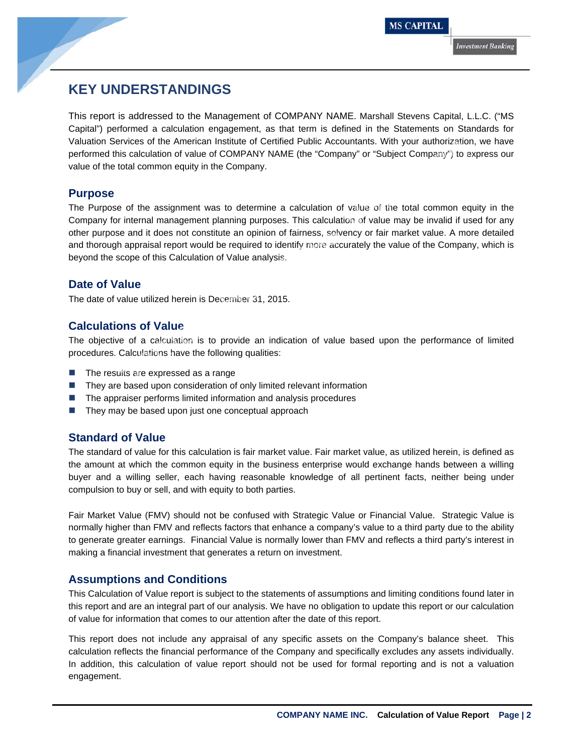### **KEY UNDERSTANDINGS**

This report is addressed to the Management of COMPANY NAME. Marshall Stevens Capital, L.L.C. ("MS Capital") performed a calculation engagement, as that term is defined in the Statements on Standards for Valuation Services of the American Institute of Certified Public Accountants. With your authorization, we have performed this calculation of value of COMPANY NAME (the "Company" or "Subject Company") to express our value of the total common equity in the Company.

### **Purpose**

The Purpose of the assignment was to determine a calculation of value of the total common equity in the Company for internal management planning purposes. This calculation of value may be invalid if used for any other purpose and it does not constitute an opinion of fairness, solvency or fair market value. A more detailed and thorough appraisal report would be required to identify more accurately the value of the Company, which is beyond the scope of this Calculation of Value analysis. Services of the American Institute of Certified Public Accountants. With your authorization<br>this calculation of value of COMPANY NAME (the "Company" or "Subject Company") to a<br>total common equity in the Company.<br>See of the

### **Date of Value**

The date of value utilized herein is December 31, 2015.

### **Calculations of Value**

The objective of a calculation is to provide an indication of value based upon the performance of limited procedures. Calculations have the following qualities:

- $\blacksquare$  The results are expressed as a range
- They are based upon consideration of only limited relevant information
- The appraiser performs limited information and analysis procedures
- $\blacksquare$  They may be based upon just one conceptual approach

### **Standard of Value**

The standard of value for this calculation is fair market value. Fair market value, as utilized herein, is defined as the amount at which the common equity in the business enterprise would exchange hands between a willing buyer and a willing seller, each having reasonable knowledge of all pertinent facts, neither being under compulsion to buy or sell, and with equity to both parties.

Fair Market Value (FMV) should not be confused with Strategic Value or Financial Value. Strategic Value is normally higher than FMV and reflects factors that enhance a company's value to a third party due to the ability to generate greater earnings. Financial Value is normally lower than FMV and reflects a third party's interest in making a financial investment that generates a return on investment.

### **Assumptions and Conditions**

This Calculation of Value report is subject to the statements of assumptions and limiting conditions found later in this report and are an integral part of our analysis. We have no obligation to update this report or our calculation of value for information that comes to our attention after the date of this report.

This report does not include any appraisal of any specific assets on the Company's balance sheet. This calculation reflects the financial performance of the Company and specifically excludes any assets individually. In addition, this calculation of value report should not be used for formal reporting and is not a valuation engagement.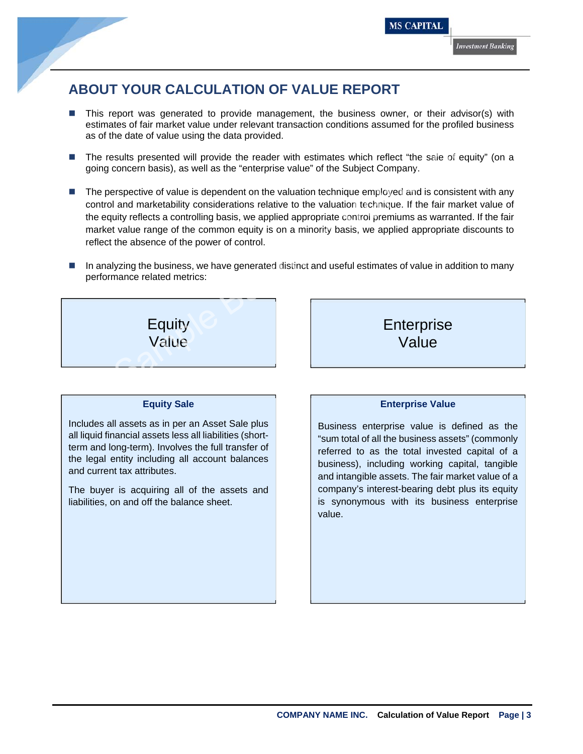## **ABOUT YOUR CALCULATION OF VALUE REPORT**

- This report was generated to provide management, the business owner, or their advisor(s) with estimates of fair market value under relevant transaction conditions assumed for the profiled business as of the date of value using the data provided.
- The results presented will provide the reader with estimates which reflect "the sale of equity" (on a going concern basis), as well as the "enterprise value" of the Subject Company.
- The perspective of value is dependent on the valuation technique employed and is consistent with any control and marketability considerations relative to the valuation technique. If the fair market value of the equity reflects a controlling basis, we applied appropriate control premiums as warranted. If the fair market value range of the common equity is on a minority basis, we applied appropriate discounts to reflect the absence of the power of control. Saults presented will provide the reader with estimates which reflect "the sale of eq<br>
concern basis), as well as the "enterprise value" of the Subject Company.<br>
Subject Company.<br>
Subject company.<br>
Subject company.<br>
Subjec
- In analyzing the business, we have generated distinct and useful estimates of value in addition to many performance related metrics:



### **Equity Sale**

Includes all assets as in per an Asset Sale plus all liquid financial assets less all liabilities (shortterm and long-term). Involves the full transfer of the legal entity including all account balances and current tax attributes.

The buyer is acquiring all of the assets and liabilities, on and off the balance sheet.

**Enterprise** Value

### **Enterprise Value**

Business enterprise value is defined as the "sum total of all the business assets" (commonly referred to as the total invested capital of a business), including working capital, tangible and intangible assets. The fair market value of a company's interest-bearing debt plus its equity is synonymous with its business enterprise value.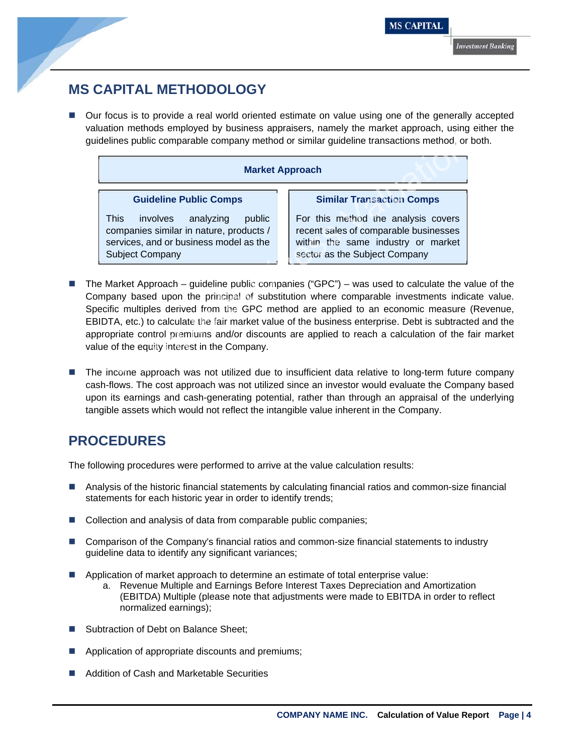### **MS CAPITAL METHODOLOGY**

■ Our focus is to provide a real world oriented estimate on value using one of the generally accepted valuation methods employed by business appraisers, namely the market approach, using either the guidelines public comparable company method or similar guideline transactions method, or both.

|                                                                                                                                                                                       | delines public comparable company method or similar quideline transactions method, or t                                                                                                                                                                                                                                                                                                                                                                      |
|---------------------------------------------------------------------------------------------------------------------------------------------------------------------------------------|--------------------------------------------------------------------------------------------------------------------------------------------------------------------------------------------------------------------------------------------------------------------------------------------------------------------------------------------------------------------------------------------------------------------------------------------------------------|
|                                                                                                                                                                                       | <b>Market Approach</b>                                                                                                                                                                                                                                                                                                                                                                                                                                       |
| <b>Guideline Public Comps</b><br>This.<br>involves analyzing<br>public<br>companies similar in nature, products /<br>services, and or business model as the<br><b>Subject Company</b> | <b>Similar Transaction Comps</b><br>For this method the analysis covers<br>recent sales of comparable businesses<br>within the same industry or market<br>sector as the Subject Company                                                                                                                                                                                                                                                                      |
| ue of the equity interest in the Company.                                                                                                                                             | e Market Approach – guideline public companies ("GPC") – was used to calculate the va<br>mpany based upon the principal of substitution where comparable investments indica<br>ecific multiples derived from the GPC method are applied to an economic measure (<br>IDTA, etc.) to calculate the fair market value of the business enterprise. Debt is subtracte<br>propriate control premiums and/or discounts are applied to reach a calculation of the fa |
|                                                                                                                                                                                       | e income approach was not utilized due to insufficient data relative to long-term future<br>ch-flows. The cost approach was not utilized since an investor would evaluate the Comps                                                                                                                                                                                                                                                                          |

- The Market Approach guideline public companies ("GPC") was used to calculate the value of the Company based upon the principal of substitution where comparable investments indicate value. Specific multiples derived from the GPC method are applied to an economic measure (Revenue, EBIDTA, etc.) to calculate the fair market value of the business enterprise. Debt is subtracted and the appropriate control premiums and/or discounts are applied to reach a calculation of the fair market value of the equity interest in the Company.
- **The income approach was not utilized due to insufficient data relative to long-term future company** cash-flows. The cost approach was not utilized since an investor would evaluate the Company based upon its earnings and cash-generating potential, rather than through an appraisal of the underlying tangible assets which would not reflect the intangible value inherent in the Company.

### **PROCEDURES**

The following procedures were performed to arrive at the value calculation results:

- Analysis of the historic financial statements by calculating financial ratios and common-size financial statements for each historic year in order to identify trends;
- Collection and analysis of data from comparable public companies;
- Comparison of the Company's financial ratios and common-size financial statements to industry guideline data to identify any significant variances;
- Application of market approach to determine an estimate of total enterprise value:
	- a. Revenue Multiple and Earnings Before Interest Taxes Depreciation and Amortization (EBITDA) Multiple (please note that adjustments were made to EBITDA in order to reflect normalized earnings);
- Subtraction of Debt on Balance Sheet;
- Application of appropriate discounts and premiums;
- Addition of Cash and Marketable Securities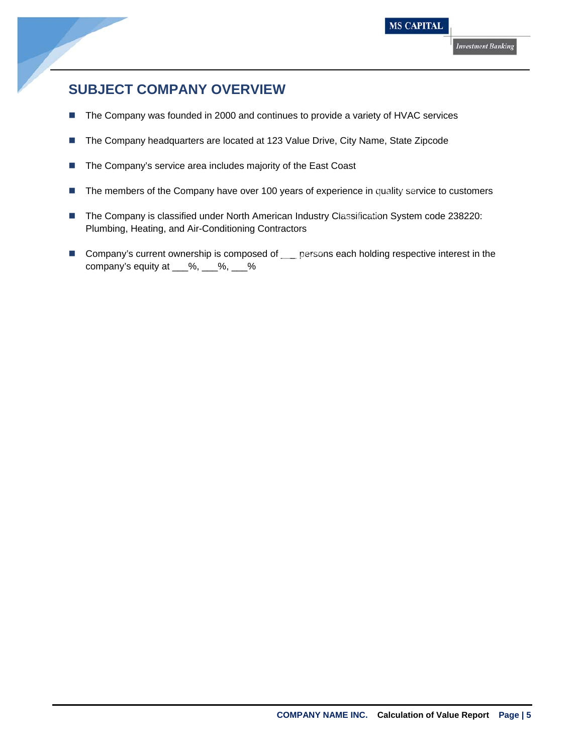

### **SUBJECT COMPANY OVERVIEW**

- The Company was founded in 2000 and continues to provide a variety of HVAC services
- The Company headquarters are located at 123 Value Drive, City Name, State Zipcode
- The Company's service area includes majority of the East Coast
- The members of the Company have over 100 years of experience in quality service to customers
- The Company is classified under North American Industry Classification System code 238220: Plumbing, Heating, and Air-Conditioning Contractors ompany headquarters are located at 123 value Drive, City Name, State Zipcode<br>ompany's service area includes majority of the East Coast<br>embers of the Company have over 100 years of experience in quality service to cust<br>ompa
- Company's current ownership is composed of \_\_\_ persons each holding respective interest in the company's equity at \_\_\_%, \_\_\_%, \_\_\_%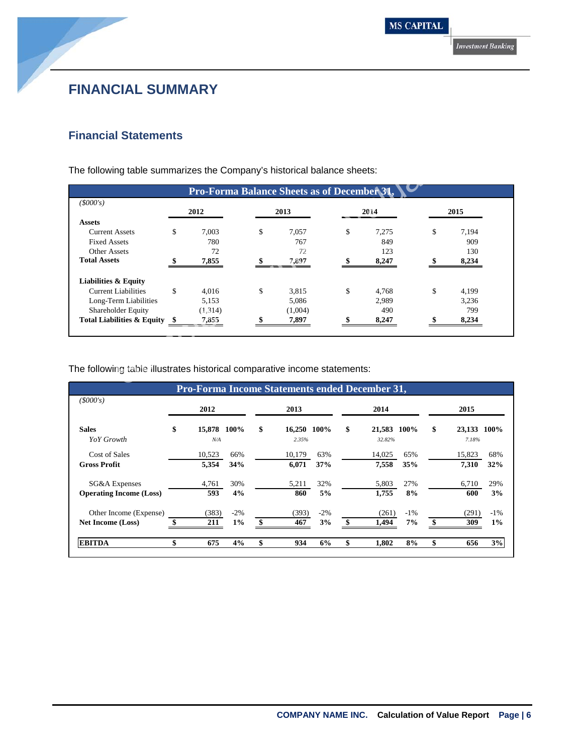### **FINANCIAL SUMMARY**

### **Financial Statements**

|                                       |             | <b>Pro-Forma Balance Sheets as of December 31</b> |             |             |
|---------------------------------------|-------------|---------------------------------------------------|-------------|-------------|
| (5000's)                              | 2012        | 2013                                              | 2014        |             |
| <b>Assets</b>                         |             |                                                   |             | 2015        |
| <b>Current Assets</b>                 | \$<br>7,003 | \$<br>7,057                                       | \$<br>7,275 | \$<br>7,194 |
| <b>Fixed Assets</b>                   | 780         | 767                                               | 849         | 909         |
| <b>Other Assets</b>                   | 72          | 72                                                | 123         | 130         |
| <b>Total Assets</b>                   | 7,855       | 7,897                                             | 8,247       | 8,234       |
| <b>Liabilities &amp; Equity</b>       |             |                                                   |             |             |
| <b>Current Liabilities</b>            | \$<br>4,016 | \$<br>3,815                                       | \$<br>4,768 | \$<br>4,199 |
| Long-Term Liabilities                 | 5,153       | 5,086                                             | 2,989       | 3,236       |
| Shareholder Equity                    | (1,314)     | (1,004)                                           | 490         | 799         |
| <b>Total Liabilities &amp; Equity</b> | 7,855       | 7,897                                             | 8,247       | 8,234       |

|                                |                   |        | <b>Pro-Forma Income Statements ended December 31,</b> |        |                   |        |                   |        |
|--------------------------------|-------------------|--------|-------------------------------------------------------|--------|-------------------|--------|-------------------|--------|
| (5000's)                       | 2012              |        | 2013                                                  |        | 2014              |        | 2015              |        |
| <b>Sales</b>                   | \$<br>15,878 100% |        | \$<br>16,250 100%                                     |        | \$<br>21,583 100% |        | \$<br>23,133 100% |        |
| YoY Growth                     | N/A               |        | 2.35%                                                 |        | 32.82%            |        | 7.18%             |        |
| Cost of Sales                  | 10,523            | 66%    | 10.179                                                | 63%    | 14,025            | 65%    | 15,823            | 68%    |
| <b>Gross Profit</b>            | 5,354             | 34%    | 6.071                                                 | 37%    | 7,558             | 35%    | 7,310             | 32%    |
| SG&A Expenses                  | 4,761             | 30%    | 5,211                                                 | 32%    | 5,803             | 27%    | 6,710             | 29%    |
| <b>Operating Income (Loss)</b> | 593               | 4%     | 860                                                   | 5%     | 1,755             | 8%     | 600               | 3%     |
| Other Income (Expense)         | (383)             | $-2\%$ | (393)                                                 | $-2\%$ | (261)             | $-1\%$ | (291)             | $-1\%$ |
| <b>Net Income (Loss)</b>       | 211               | 1%     | \$<br>467                                             | 3%     | 1,494             | 7%     | 309               | 1%     |
| <b>EBITDA</b>                  | \$<br>675         | 4%     | \$<br>934                                             | 6%     | \$<br>1.802       | 8%     | \$<br>656         | 3%     |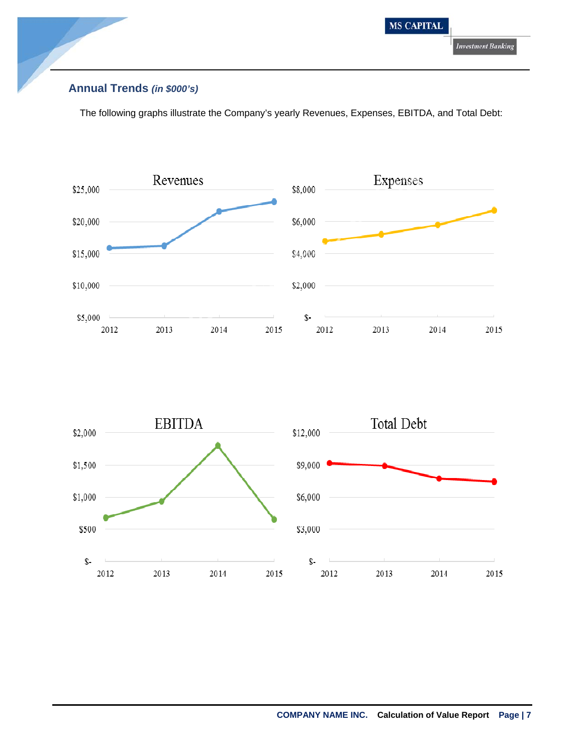

### **Annual Trends** *(in \$000's)*

The following graphs illustrate the Company's yearly Revenues, Expenses, EBITDA, and Total Debt:



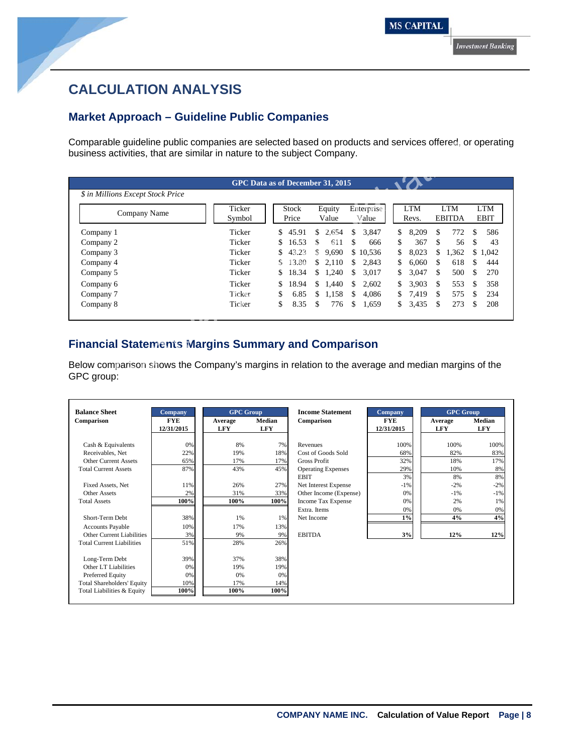### **CALCULATION ANALYSIS**

### **Market Approach – Guideline Public Companies**

Comparable guideline public companies are selected based on products and services offered, or operating business activities, that are similar in nature to the subject Company.

| \$ in Millions Except Stock Price<br><b>LTM</b><br><b>LTM</b><br>Enterprise<br>Ticker<br>Equity<br><b>Stock</b><br>Company Name<br>Price<br><b>EBITDA</b><br>Symbol<br>Value<br>Value<br>Revs.<br>Ticker<br>\$<br>Company 1<br>45.91<br>2,654<br>\$.<br>3,847<br>8,209<br>\$.<br>\$<br>\$<br>Company 2<br>Ticker<br>16.53<br>611<br>\$.<br>666<br>367<br>£.<br>S<br>Company 3<br>Ticker<br>43.23<br>9,690<br>\$10,536<br>8,023<br>\$<br>S.<br>\$<br>S.<br>Company 4<br>Ticker<br>13.80<br>2,110<br>6,060<br>2,843<br>\$.<br>S.<br>S.<br>S<br>Ticker<br>Company 5<br>18.34<br>\$.<br>1,240<br>3,017<br>3,047<br>\$<br>S<br>S | <b>LTM</b><br><b>EBIT</b><br>772 |
|-----------------------------------------------------------------------------------------------------------------------------------------------------------------------------------------------------------------------------------------------------------------------------------------------------------------------------------------------------------------------------------------------------------------------------------------------------------------------------------------------------------------------------------------------------------------------------------------------------------------------------|----------------------------------|
|                                                                                                                                                                                                                                                                                                                                                                                                                                                                                                                                                                                                                             |                                  |
|                                                                                                                                                                                                                                                                                                                                                                                                                                                                                                                                                                                                                             |                                  |
|                                                                                                                                                                                                                                                                                                                                                                                                                                                                                                                                                                                                                             | 56<br>\$.                        |
|                                                                                                                                                                                                                                                                                                                                                                                                                                                                                                                                                                                                                             | 1,362<br>1,042<br>S.             |
|                                                                                                                                                                                                                                                                                                                                                                                                                                                                                                                                                                                                                             | 618                              |
|                                                                                                                                                                                                                                                                                                                                                                                                                                                                                                                                                                                                                             | 500<br><b>S</b>                  |
| Ticker<br>18.94<br>1,440<br>2,602<br>3,903<br>\$.<br>Company 6<br>\$.<br>\$.<br>S.<br>S                                                                                                                                                                                                                                                                                                                                                                                                                                                                                                                                     | 553<br>-S                        |
| Company 7<br>Ticker<br>1,158<br>4,086<br>7,419<br>\$.<br>6.85<br>S.<br>\$.<br>S.<br>S                                                                                                                                                                                                                                                                                                                                                                                                                                                                                                                                       | 575<br>-S                        |
| 3,435<br>Company 8<br>Ticker<br>\$<br>8.35<br>776<br>\$<br>\$<br>\$.<br>1,659<br>S.                                                                                                                                                                                                                                                                                                                                                                                                                                                                                                                                         | 273<br>\$.                       |
|                                                                                                                                                                                                                                                                                                                                                                                                                                                                                                                                                                                                                             |                                  |

### **Financial Statements Margins Summary and Comparison**

| <b>Balance Sheet</b>              | <b>Company</b>           | <b>GPC</b> Group      |                      | <b>Income Statement</b>   | <b>Company</b>           | <b>GPC Group</b>      |                      |
|-----------------------------------|--------------------------|-----------------------|----------------------|---------------------------|--------------------------|-----------------------|----------------------|
| Comparison                        | <b>FYE</b><br>12/31/2015 | Average<br><b>LFY</b> | Median<br><b>LFY</b> | Comparison                | <b>FYE</b><br>12/31/2015 | Average<br><b>LFY</b> | Median<br><b>LFY</b> |
| Cash & Equivalents                | 0%                       | 8%                    | 7%                   | Revenues                  | 100%                     | 100%                  | 100%                 |
| Receivables, Net                  | 22%                      | 19%                   | 18%                  | Cost of Goods Sold        | 68%                      | 82%                   | 83%                  |
| <b>Other Current Assets</b>       | 65%                      | 17%                   | 17%                  | <b>Gross Profit</b>       | 32%                      | 18%                   | 17%                  |
| <b>Total Current Assets</b>       | 87%                      | 43%                   | 45%                  | <b>Operating Expenses</b> | 29%                      | 10%                   | 8%                   |
|                                   |                          |                       |                      | <b>EBIT</b>               | 3%                       | 8%                    | 8%                   |
| Fixed Assets, Net                 | 11%                      | 26%                   | 27%                  | Net Interest Expense      | $-1\%$                   | $-2%$                 | $-2%$                |
| Other Assets                      | 2%                       | 31%                   | 33%                  | Other Income (Expense)    | 0%                       | $-1%$                 | $-1%$                |
| <b>Total Assets</b>               | 100%                     | 100%                  | 100%                 | Income Tax Expense        | 0%                       | 2%                    | 1%                   |
|                                   |                          |                       |                      | Extra. Items              | 0%                       | 0%                    | 0%                   |
| Short-Term Debt                   | 38%                      | 1%                    | 1%                   | Net Income                | $1\%$                    | 4%                    | 4%                   |
| <b>Accounts Payable</b>           | 10%                      | 17%                   | 13%                  |                           |                          |                       |                      |
| Other Current Liabilities         | 3%                       | 9%                    | 9%                   | <b>EBITDA</b>             | 3%                       | 12%                   | 12%                  |
| <b>Total Current Liabilities</b>  | 51%                      | 28%                   | 26%                  |                           |                          |                       |                      |
| Long-Term Debt                    | 39%                      | 37%                   | 38%                  |                           |                          |                       |                      |
| Other LT Liabilities              | 0%                       | 19%                   | 19%                  |                           |                          |                       |                      |
| Preferred Equity                  | 0%                       | 0%                    | 0%                   |                           |                          |                       |                      |
| <b>Total Shareholders' Equity</b> | 10%                      | 17%                   | 14%                  |                           |                          |                       |                      |
| Total Liabilities & Equity        | 100%                     | 100%                  | 100%                 |                           |                          |                       |                      |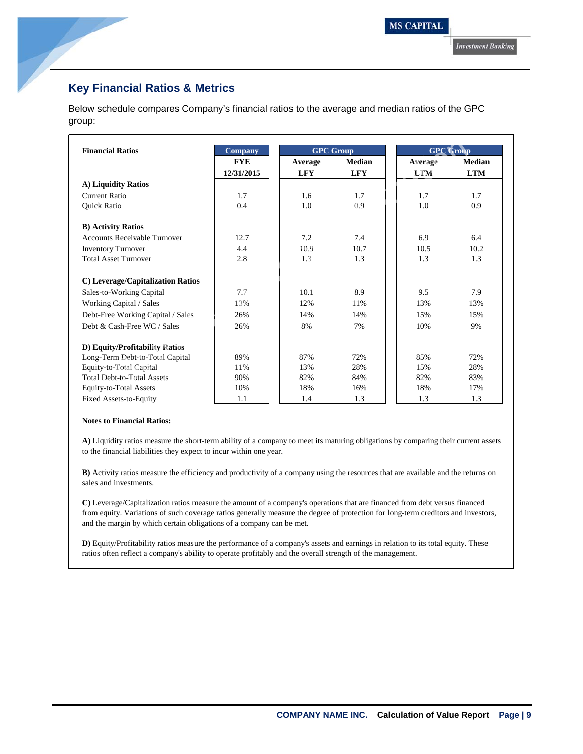### **Key Financial Ratios & Metrics**

Below schedule compares Company's financial ratios to the average and median ratios of the GPC group:

| <b>Financial Ratios</b>             | <b>Company</b> | <b>GPC Group</b> |               | <b>GPC Group</b> |               |
|-------------------------------------|----------------|------------------|---------------|------------------|---------------|
|                                     | <b>FYE</b>     | Average          | <b>Median</b> | Average          | <b>Median</b> |
|                                     | 12/31/2015     | <b>LFY</b>       | <b>LFY</b>    | <b>LTM</b>       | <b>LTM</b>    |
| A) Liquidity Ratios                 |                |                  |               |                  |               |
| <b>Current Ratio</b>                | 1.7            | 1.6              | 1.7           | 1.7              | 1.7           |
| Quick Ratio                         | 0.4            | 1.0              | 0.9           | 1.0              | 0.9           |
| <b>B)</b> Activity Ratios           |                |                  |               |                  |               |
| <b>Accounts Receivable Turnover</b> | 12.7           | 7.2              | 7.4           | 6.9              | 6.4           |
| <b>Inventory Turnover</b>           | 4.4            | 10.9             | 10.7          | 10.5             | 10.2          |
| <b>Total Asset Turnover</b>         | 2.8            | 1.3              | 1.3           | 1.3              | 1.3           |
| C) Leverage/Capitalization Ratios   |                |                  |               |                  |               |
| Sales-to-Working Capital            | 7.7            | 10.1             | 8.9           | 9.5              | 7.9           |
| Working Capital / Sales             | 13%            | 12%              | 11%           | 13%              | 13%           |
| Debt-Free Working Capital / Sales   | 26%            | 14%              | 14%           | 15%              | 15%           |
| Debt & Cash-Free WC / Sales         | 26%            | 8%               | 7%            | 10%              | 9%            |
| D) Equity/Profitability Ratios      |                |                  |               |                  |               |
| Long-Term Debt-to-Total Capital     | 89%            | 87%              | 72%           | 85%              | 72%           |
| Equity-to-Total Capital             | 11%            | 13%              | 28%           | 15%              | 28%           |
| <b>Total Debt-to-Total Assets</b>   | 90%            | 82%              | 84%           | 82%              | 83%           |
| Equity-to-Total Assets              | 10%            | 18%              | 16%           | 18%              | 17%           |
| <b>Fixed Assets-to-Equity</b>       | 1.1            | 1.4              | 1.3           | 1.3              | 1.3           |

### **Notes to Financial Ratios:**

**A)** Liquidity ratios measure the short-term ability of a company to meet its maturing obligations by comparing their current assets to the financial liabilities they expect to incur within one year.

**B)** Activity ratios measure the efficiency and productivity of a company using the resources that are available and the returns on sales and investments.

**C)** Leverage/Capitalization ratios measure the amount of a company's operations that are financed from debt versus financed from equity. Variations of such coverage ratios generally measure the degree of protection for long-term creditors and investors, and the margin by which certain obligations of a company can be met.

**D)** Equity/Profitability ratios measure the performance of a company's assets and earnings in relation to its total equity. These ratios often reflect a company's ability to operate profitably and the overall strength of the management.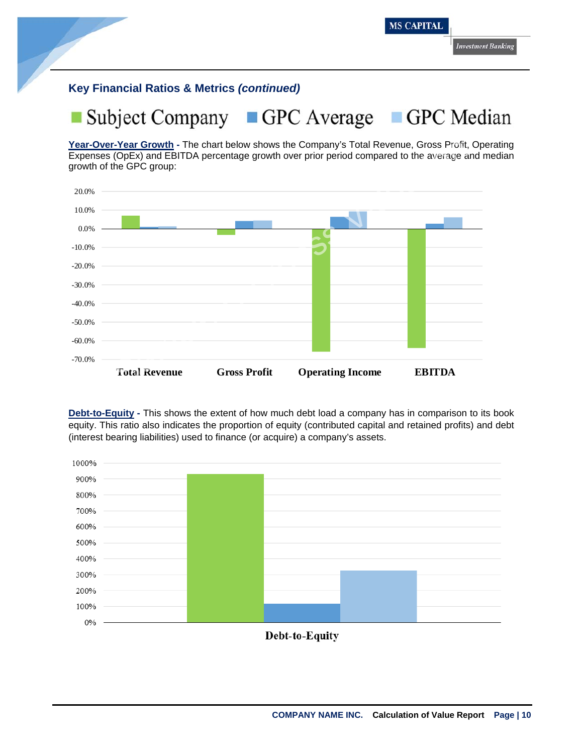### **Key Financial Ratios & Metrics** *(continued)*

### GPC Average **Subject Company** GPC Median

**Year-Over-Year Growth -** The chart below shows the Company's Total Revenue, Gross Profit, Operating Expenses (OpEx) and EBITDA percentage growth over prior period compared to the average and median growth of the GPC group:



**Debt-to-Equity -** This shows the extent of how much debt load a company has in comparison to its book equity. This ratio also indicates the proportion of equity (contributed capital and retained profits) and debt (interest bearing liabilities) used to finance (or acquire) a company's assets.



Debt-to-Equity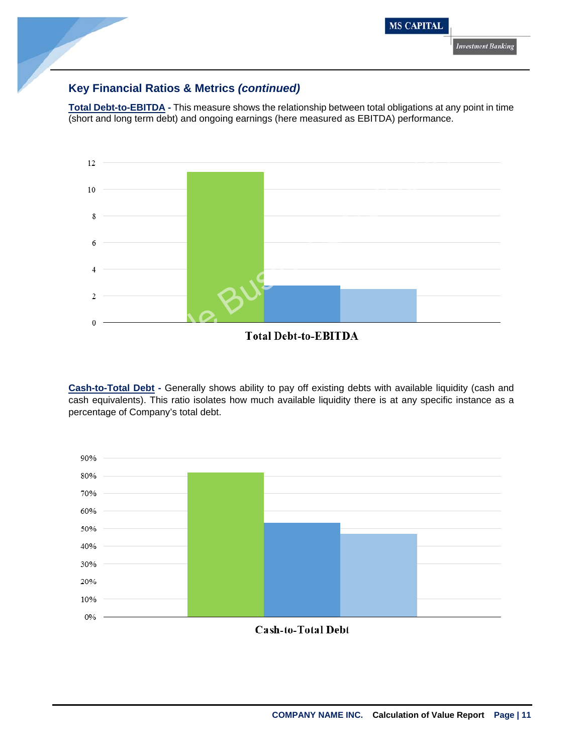

### **Key Financial Ratios & Metrics** *(continued)*

**Total Debt-to-EBITDA -** This measure shows the relationship between total obligations at any point in time (short and long term debt) and ongoing earnings (here measured as EBITDA) performance.



**Cash-to-Total Debt -** Generally shows ability to pay off existing debts with available liquidity (cash and cash equivalents). This ratio isolates how much available liquidity there is at any specific instance as a percentage of Company's total debt.

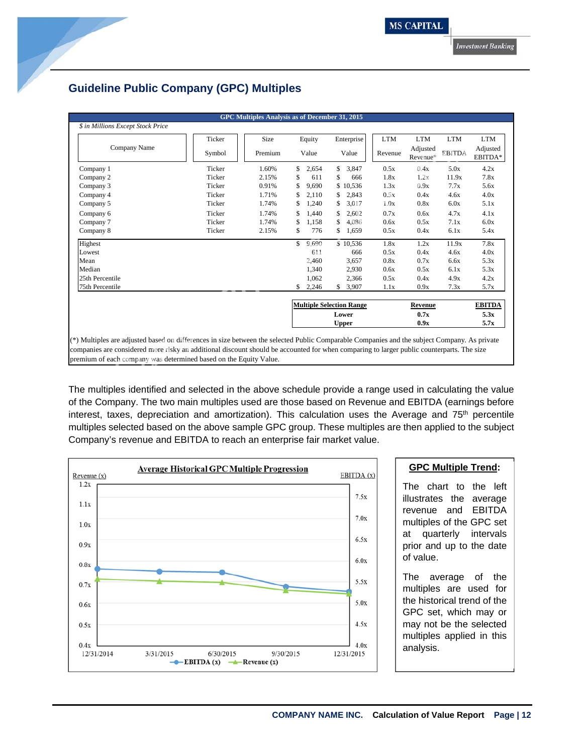### **Guideline Public Company (GPC) Multiples**

| \$ in Millions Except Stock Price<br>Company Name | Ticker<br>Symbol | Size<br>Premium |     | Equity                          | Enterprise   | <b>LTM</b> | <b>LTM</b>           | <b>LTM</b>    | <b>LTM</b>          |
|---------------------------------------------------|------------------|-----------------|-----|---------------------------------|--------------|------------|----------------------|---------------|---------------------|
|                                                   |                  |                 |     |                                 |              |            |                      |               |                     |
|                                                   |                  |                 |     |                                 |              |            |                      |               |                     |
|                                                   |                  |                 |     | Value                           | Value        | Revenue    | Adjusted<br>Revenue* | <b>EBITDA</b> | Adjusted<br>EBITDA* |
| Company 1                                         | Ticker           | 1.60%           | \$  | 2,654                           | \$<br>3,847  | 0.5x       | 0.4x                 | 5.0x          | 4.2x                |
| Company 2                                         | Ticker           | 2.15%           | \$  | 611                             | \$<br>666    | 1.8x       | 1.2x                 | 11.9x         | 7.8x                |
| Company 3                                         | Ticker           | 0.91%           | \$  | 9,690                           | \$<br>10,536 | 1.3x       | 0.9x                 | 7.7x          | 5.6x                |
| Company 4                                         | Ticker           | 1.71%           | \$  | 2,110                           | \$<br>2,843  | 0.5x       | 0.4x                 | 4.6x          | 4.0x                |
| Company 5                                         | Ticker           | 1.74%           | \$  | 1,240                           | \$<br>3,017  | 1.0x       | 0.8x                 | 6.0x          | 5.1x                |
| Company 6                                         | Ticker           | 1.74%           | \$  | 1.440                           | \$<br>2,602  | 0.7x       | 0.6x                 | 4.7x          | 4.1x                |
| Company 7                                         | Ticker           | 1.74%           | \$  | 1,158                           | \$<br>4,086  | 0.6x       | 0.5x                 | 7.1x          | 6.0x                |
| Company 8                                         | Ticker           | 2.15%           | \$  | 776                             | \$<br>1,659  | 0.5x       | 0.4x                 | 6.1x          | 5.4x                |
| Highest                                           |                  |                 | \$. | 9,690                           | \$10,536     | 1.8x       | 1.2x                 | 11.9x         | 7.8x                |
| Lowest                                            |                  |                 |     | 611                             | 666          | 0.5x       | 0.4x                 | 4.6x          | 4.0x                |
| Mean                                              |                  |                 |     | 2,460                           | 3,657        | 0.8x       | 0.7x                 | 6.6x          | 5.3x                |
| Median                                            |                  |                 |     | 1,340                           | 2,930        | 0.6x       | 0.5x                 | 6.1x          | 5.3x                |
| 25th Percentile                                   |                  |                 |     | 1,062                           | 2,366        | 0.5x       | 0.4x                 | 4.9x          | 4.2x                |
| 75th Percentile                                   |                  |                 | \$  | 2,246                           | \$<br>3,907  | 1.1x       | 0.9x                 | 7.3x          | 5.7x                |
|                                                   |                  |                 |     | <b>Multiple Selection Range</b> |              |            | Revenue              |               | <b>EBITDA</b>       |
|                                                   |                  |                 |     |                                 | Lower        |            | 0.7x                 |               | 5.3x                |
|                                                   |                  |                 |     |                                 | <b>Upper</b> |            | 0.9x                 |               | 5.7x                |

The multiples identified and selected in the above schedule provide a range used in calculating the value of the Company. The two main multiples used are those based on Revenue and EBITDA (earnings before interest, taxes, depreciation and amortization). This calculation uses the Average and  $75<sup>th</sup>$  percentile multiples selected based on the above sample GPC group. These multiples are then applied to the subject Company's revenue and EBITDA to reach an enterprise fair market value.



### **GPC Multiple Trend:**

The chart to the left illustrates the average revenue and EBITDA multiples of the GPC set at quarterly intervals prior and up to the date of value.

The average of the multiples are used for the historical trend of the GPC set, which may or may not be the selected multiples applied in this analysis.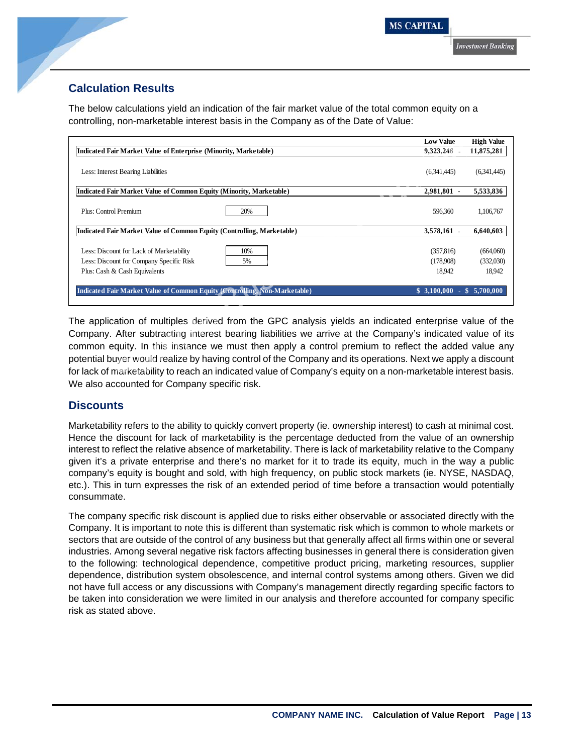### **Calculation Results**

The below calculations yield an indication of the fair market value of the total common equity on a controlling, non-marketable interest basis in the Company as of the Date of Value:

|                                                                            | <b>Low Value</b>  | <b>High Value</b> |
|----------------------------------------------------------------------------|-------------------|-------------------|
| Indicated Fair Market Value of Enterprise (Minority, Marketable)           | 9,323,246 -       | 11,875,281        |
| Less: Interest Bearing Liabilities                                         | (6,341,445)       | (6.341, 445)      |
| Indicated Fair Market Value of Common Equity (Minority, Marketable)        | 2,981,801 -       | 5,533,836         |
| Plus: Control Premium<br>20%                                               | 596.360           | 1,106,767         |
| Indicated Fair Market Value of Common Equity (Controlling, Marketable)     | 3,578,161 -       | 6,640,603         |
| Less: Discount for Lack of Marketability<br>10%                            | (357, 816)        | (664,060)         |
| Less: Discount for Company Specific Risk<br>5%                             | (178.908)         | (332,030)         |
| Plus: Cash & Cash Equivalents                                              | 18.942            | 18.942            |
| Indicated Fair Market Value of Common Equity (Controlling, Non-Marketable) | \$3,100,000<br>n. | \$5,700,000       |

### **Discounts**

Marketability refers to the ability to quickly convert property (ie. ownership interest) to cash at minimal cost. Hence the discount for lack of marketability is the percentage deducted from the value of an ownership interest to reflect the relative absence of marketability. There is lack of marketability relative to the Company given it's a private enterprise and there's no market for it to trade its equity, much in the way a public company's equity is bought and sold, with high frequency, on public stock markets (ie. NYSE, NASDAQ, etc.). This in turn expresses the risk of an extended period of time before a transaction would potentially consummate.

The company specific risk discount is applied due to risks either observable or associated directly with the Company. It is important to note this is different than systematic risk which is common to whole markets or sectors that are outside of the control of any business but that generally affect all firms within one or several industries. Among several negative risk factors affecting businesses in general there is consideration given to the following: technological dependence, competitive product pricing, marketing resources, supplier dependence, distribution system obsolescence, and internal control systems among others. Given we did not have full access or any discussions with Company's management directly regarding specific factors to be taken into consideration we were limited in our analysis and therefore accounted for company specific risk as stated above.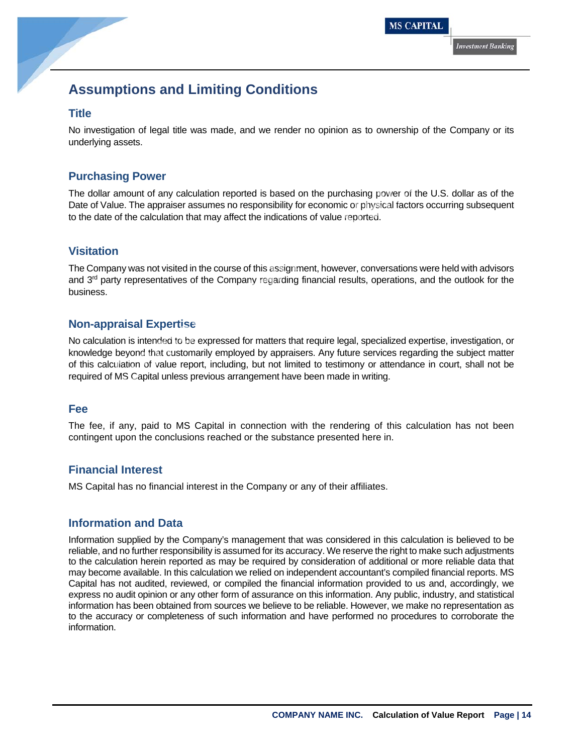## **Assumptions and Limiting Conditions**

### **Title**

No investigation of legal title was made, and we render no opinion as to ownership of the Company or its underlying assets.

### **Purchasing Power**

The dollar amount of any calculation reported is based on the purchasing power of the U.S. dollar as of the Date of Value. The appraiser assumes no responsibility for economic or physical factors occurring subsequent to the date of the calculation that may affect the indications of value reported.

### **Visitation**

The Company was not visited in the course of this assignment, however, conversations were held with advisors and  $3<sup>rd</sup>$  party representatives of the Company regarding financial results, operations, and the outlook for the business.

### **Non-appraisal Expertise**

No calculation is intended to be expressed for matters that require legal, specialized expertise, investigation, or knowledge beyond that customarily employed by appraisers. Any future services regarding the subject matter of this calculation of value report, including, but not limited to testimony or attendance in court, shall not be required of MS Capital unless previous arrangement have been made in writing. assets.<br>
ing Power<br>
amount of any calculation reported is based on the purchasing power of the U.S. dolla<br>
lue. The appraiser assumes no responsibility for economic or physical factors occurring s<br>
of the calculation that

### **Fee**

The fee, if any, paid to MS Capital in connection with the rendering of this calculation has not been contingent upon the conclusions reached or the substance presented here in.

### **Financial Interest**

MS Capital has no financial interest in the Company or any of their affiliates.

### **Information and Data**

Information supplied by the Company's management that was considered in this calculation is believed to be reliable, and no further responsibility is assumed for its accuracy. We reserve the right to make such adjustments to the calculation herein reported as may be required by consideration of additional or more reliable data that may become available. In this calculation we relied on independent accountant's compiled financial reports. MS Capital has not audited, reviewed, or compiled the financial information provided to us and, accordingly, we express no audit opinion or any other form of assurance on this information. Any public, industry, and statistical information has been obtained from sources we believe to be reliable. However, we make no representation as to the accuracy or completeness of such information and have performed no procedures to corroborate the information.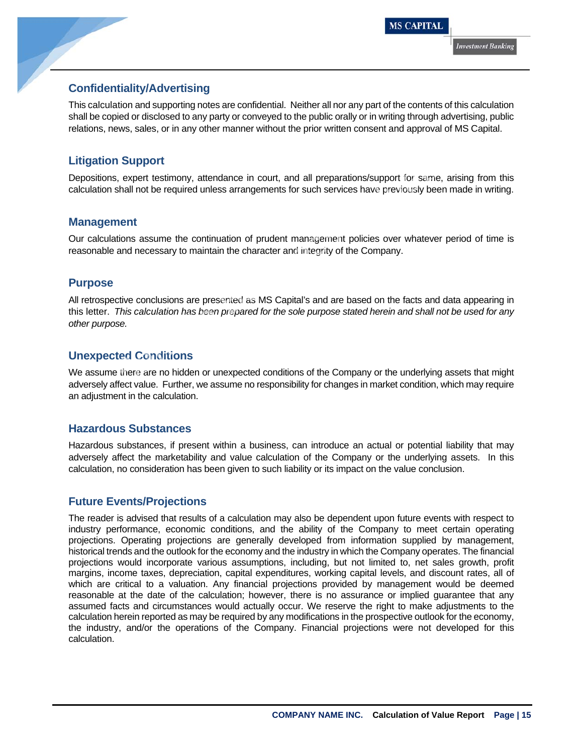### **Confidentiality/Advertising**

This calculation and supporting notes are confidential. Neither all nor any part of the contents of this calculation shall be copied or disclosed to any party or conveyed to the public orally or in writing through advertising, public relations, news, sales, or in any other manner without the prior written consent and approval of MS Capital.

### **Litigation Support**

Depositions, expert testimony, attendance in court, and all preparations/support for same, arising from this calculation shall not be required unless arrangements for such services have previously been made in writing.

### **Management**

Our calculations assume the continuation of prudent management policies over whatever period of time is reasonable and necessary to maintain the character and integrity of the Company.

### **Purpose**

All retrospective conclusions are presented as MS Capital's and are based on the facts and data appearing in this letter. *This calculation has been prepared for the sole purpose stated herein and shall not be used for any other purpose.*  **Support**<br>
See Supert testimony, attendance in court, and all preparations/support for same, arisin<br>
shall not be required unless arrangements for such services have previously been made<br>
ment<br>
ations assume the continuati

### **Unexpected Conditions**

We assume there are no hidden or unexpected conditions of the Company or the underlying assets that might adversely affect value. Further, we assume no responsibility for changes in market condition, which may require an adjustment in the calculation.

### **Hazardous Substances**

Hazardous substances, if present within a business, can introduce an actual or potential liability that may adversely affect the marketability and value calculation of the Company or the underlying assets. In this calculation, no consideration has been given to such liability or its impact on the value conclusion.

### **Future Events/Projections**

The reader is advised that results of a calculation may also be dependent upon future events with respect to industry performance, economic conditions, and the ability of the Company to meet certain operating projections. Operating projections are generally developed from information supplied by management, historical trends and the outlook for the economy and the industry in which the Company operates. The financial projections would incorporate various assumptions, including, but not limited to, net sales growth, profit margins, income taxes, depreciation, capital expenditures, working capital levels, and discount rates, all of which are critical to a valuation. Any financial projections provided by management would be deemed reasonable at the date of the calculation; however, there is no assurance or implied guarantee that any assumed facts and circumstances would actually occur. We reserve the right to make adjustments to the calculation herein reported as may be required by any modifications in the prospective outlook for the economy, the industry, and/or the operations of the Company. Financial projections were not developed for this calculation.